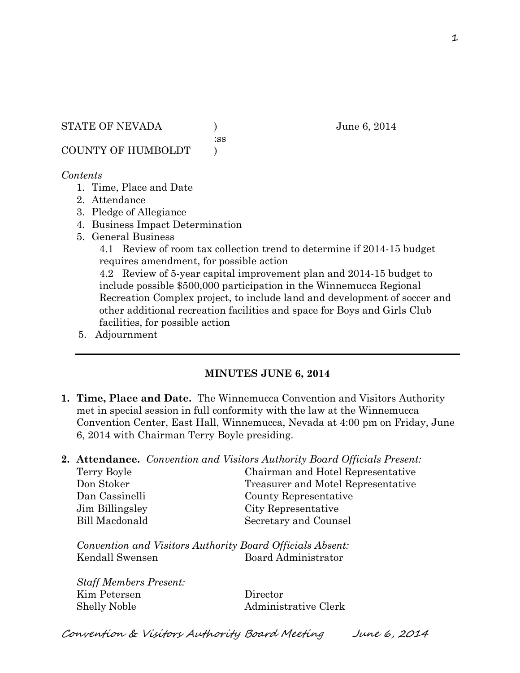:ss

COUNTY OF HUMBOLDT )

# *Contents*

- 1. Time, Place and Date
- 2. Attendance
- 3. Pledge of Allegiance
- 4. Business Impact Determination
- 5. General Business

4.1 Review of room tax collection trend to determine if 2014-15 budget requires amendment, for possible action

4.2 Review of 5-year capital improvement plan and 2014-15 budget to include possible \$500,000 participation in the Winnemucca Regional Recreation Complex project, to include land and development of soccer and other additional recreation facilities and space for Boys and Girls Club facilities, for possible action

5. Adjournment

# **MINUTES JUNE 6, 2014**

- **1. Time, Place and Date.** The Winnemucca Convention and Visitors Authority met in special session in full conformity with the law at the Winnemucca Convention Center, East Hall, Winnemucca, Nevada at 4:00 pm on Friday, June 6, 2014 with Chairman Terry Boyle presiding.
- **2. Attendance.** *Convention and Visitors Authority Board Officials Present:*

| Terry Boyle     | Chairman and Hotel Representative  |
|-----------------|------------------------------------|
| Don Stoker      | Treasurer and Motel Representative |
| Dan Cassinelli  | County Representative              |
| Jim Billingsley | City Representative                |
| Bill Macdonald  | Secretary and Counsel              |
|                 |                                    |

*Convention and Visitors Authority Board Officials Absent:* Kendall Swensen Board Administrator

*Staff Members Present:* Kim Petersen Director Shelly Noble Administrative Clerk

Convention & Visitors Authority Board Meeting June 6, 2014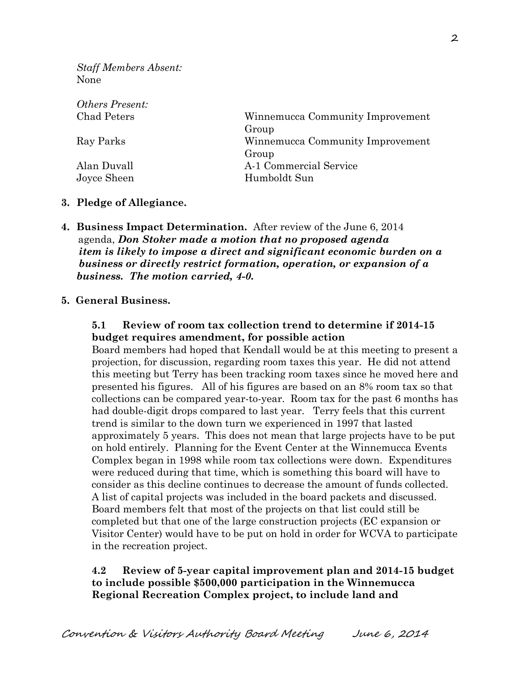*Staff Members Absent:* None

| Others Present: |                                  |
|-----------------|----------------------------------|
| Chad Peters     | Winnemucca Community Improvement |
|                 | Group                            |
| Ray Parks       | Winnemucca Community Improvement |
|                 | Group                            |
| Alan Duvall     | A-1 Commercial Service           |
| Joyce Sheen     | Humboldt Sun                     |

#### **3. Pledge of Allegiance.**

**4. Business Impact Determination.** After review of the June 6, 2014 agenda, *Don Stoker made a motion that no proposed agenda item is likely to impose a direct and significant economic burden on a business or directly restrict formation, operation, or expansion of a business. The motion carried, 4-0.*

### **5. General Business.**

# **5.1 Review of room tax collection trend to determine if 2014-15 budget requires amendment, for possible action**

Board members had hoped that Kendall would be at this meeting to present a projection, for discussion, regarding room taxes this year. He did not attend this meeting but Terry has been tracking room taxes since he moved here and presented his figures. All of his figures are based on an 8% room tax so that collections can be compared year-to-year. Room tax for the past 6 months has had double-digit drops compared to last year. Terry feels that this current trend is similar to the down turn we experienced in 1997 that lasted approximately 5 years. This does not mean that large projects have to be put on hold entirely. Planning for the Event Center at the Winnemucca Events Complex began in 1998 while room tax collections were down. Expenditures were reduced during that time, which is something this board will have to consider as this decline continues to decrease the amount of funds collected. A list of capital projects was included in the board packets and discussed. Board members felt that most of the projects on that list could still be completed but that one of the large construction projects (EC expansion or Visitor Center) would have to be put on hold in order for WCVA to participate in the recreation project.

# **4.2 Review of 5-year capital improvement plan and 2014-15 budget to include possible \$500,000 participation in the Winnemucca Regional Recreation Complex project, to include land and**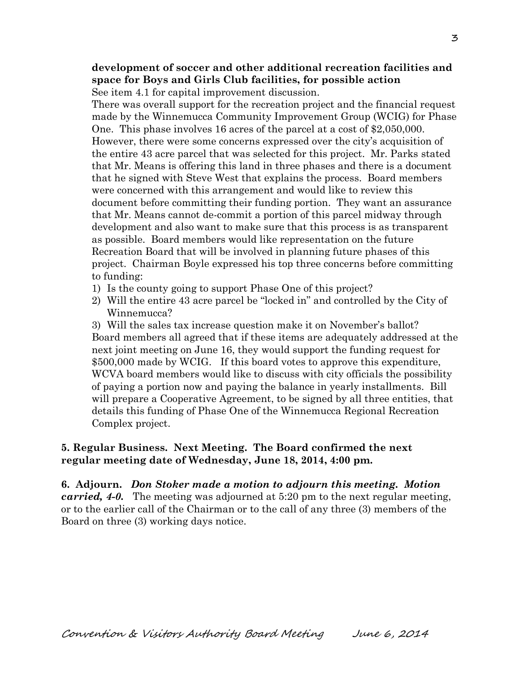**development of soccer and other additional recreation facilities and space for Boys and Girls Club facilities, for possible action** See item 4.1 for capital improvement discussion.

There was overall support for the recreation project and the financial request made by the Winnemucca Community Improvement Group (WCIG) for Phase One. This phase involves 16 acres of the parcel at a cost of \$2,050,000. However, there were some concerns expressed over the city's acquisition of the entire 43 acre parcel that was selected for this project. Mr. Parks stated that Mr. Means is offering this land in three phases and there is a document that he signed with Steve West that explains the process. Board members were concerned with this arrangement and would like to review this document before committing their funding portion. They want an assurance that Mr. Means cannot de-commit a portion of this parcel midway through development and also want to make sure that this process is as transparent as possible. Board members would like representation on the future Recreation Board that will be involved in planning future phases of this project. Chairman Boyle expressed his top three concerns before committing to funding:

- 1) Is the county going to support Phase One of this project?
- 2) Will the entire 43 acre parcel be "locked in" and controlled by the City of Winnemucca?

3) Will the sales tax increase question make it on November's ballot? Board members all agreed that if these items are adequately addressed at the next joint meeting on June 16, they would support the funding request for \$500,000 made by WCIG. If this board votes to approve this expenditure, WCVA board members would like to discuss with city officials the possibility of paying a portion now and paying the balance in yearly installments. Bill will prepare a Cooperative Agreement, to be signed by all three entities, that details this funding of Phase One of the Winnemucca Regional Recreation Complex project.

# **5. Regular Business. Next Meeting. The Board confirmed the next regular meeting date of Wednesday, June 18, 2014, 4:00 pm.**

**6. Adjourn.** *Don Stoker made a motion to adjourn this meeting. Motion carried, 4-0.* The meeting was adjourned at 5:20 pm to the next regular meeting, or to the earlier call of the Chairman or to the call of any three (3) members of the Board on three (3) working days notice.